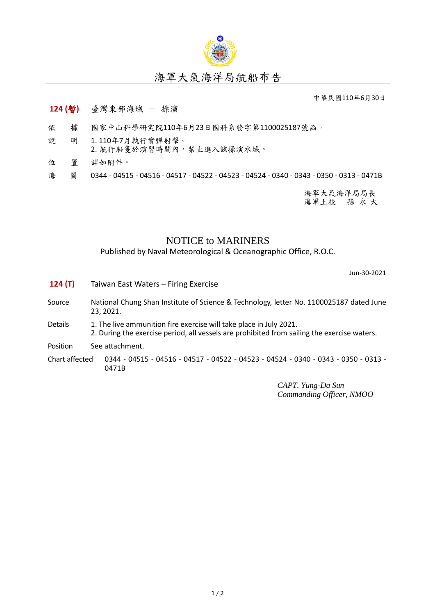

## 海軍大氣海洋局航船布告

中華民國110年6月30日

## **124 (**暫**)** 臺灣東部海域 - 操演

- 依 據 國家中山科學研究院110年6月23日國科系發字第1100025187號函。
- 說 明 1. 110年7月執行實彈射擊。 2. 航行船隻於演習時間內,禁止進入該操演水域。
- 位 置 詳如附件。
- 海 圖 0344 04515 04516 04517 04522 04523 04524 0340 0343 0350 0313 0471B

海軍大氣海洋局局長 海軍上校 孫 永 大

## NOTICE to MARINERS

Published by Naval Meteorological & Oceanographic Office, R.O.C.

Jun-30-2021

- **124 (T)** Taiwan East Waters Firing Exercise
- Source National Chung Shan Institute of Science & Technology, letter No. 1100025187 dated June 23, 2021.
- Details 1. The live ammunition fire exercise will take place in July 2021. 2. During the exercise period, all vessels are prohibited from sailing the exercise waters.
- Position See attachment.

Chart affected 0344 - 04515 - 04516 - 04517 - 04522 - 04523 - 04524 - 0340 - 0343 - 0350 - 0313 - 0471B

> *CAPT. Yung-Da Sun Commanding Officer, NMOO*